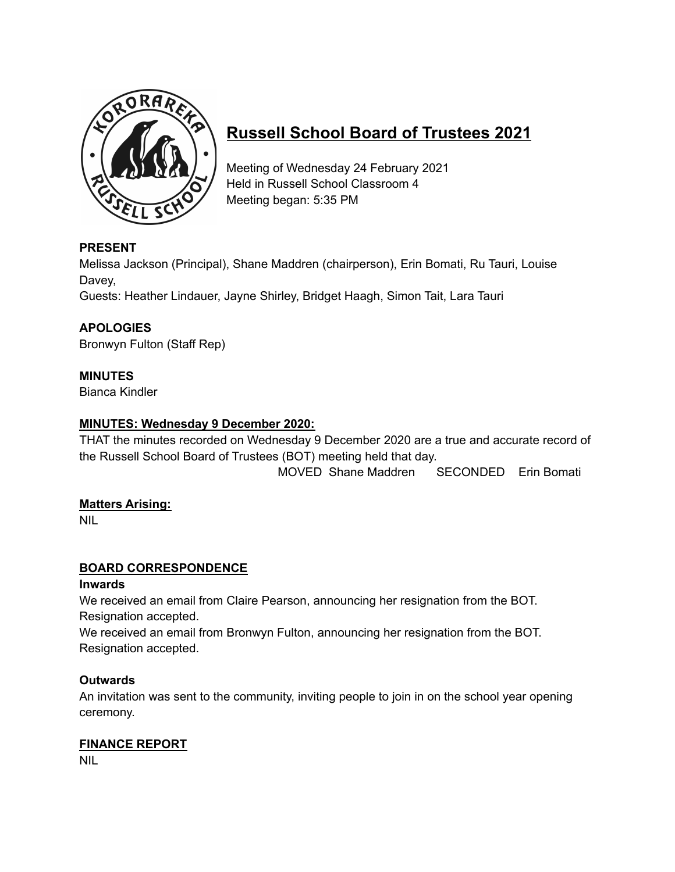

# **Russell School Board of Trustees 2021**

Meeting of Wednesday 24 February 2021 Held in Russell School Classroom 4 Meeting began: 5:35 PM

# **PRESENT**

Melissa Jackson (Principal), Shane Maddren (chairperson), Erin Bomati, Ru Tauri, Louise Davey,

Guests: Heather Lindauer, Jayne Shirley, Bridget Haagh, Simon Tait, Lara Tauri

# **APOLOGIES**

Bronwyn Fulton (Staff Rep)

## **MINUTES**

Bianca Kindler

## **MINUTES: Wednesday 9 December 2020:**

THAT the minutes recorded on Wednesday 9 December 2020 are a true and accurate record of the Russell School Board of Trustees (BOT) meeting held that day.

MOVED Shane Maddren SECONDED Erin Bomati

## **Matters Arising:**

NIL

## **BOARD CORRESPONDENCE**

## **Inwards**

We received an email from Claire Pearson, announcing her resignation from the BOT. Resignation accepted.

We received an email from Bronwyn Fulton, announcing her resignation from the BOT. Resignation accepted.

## **Outwards**

An invitation was sent to the community, inviting people to join in on the school year opening ceremony.

## **FINANCE REPORT**

NIL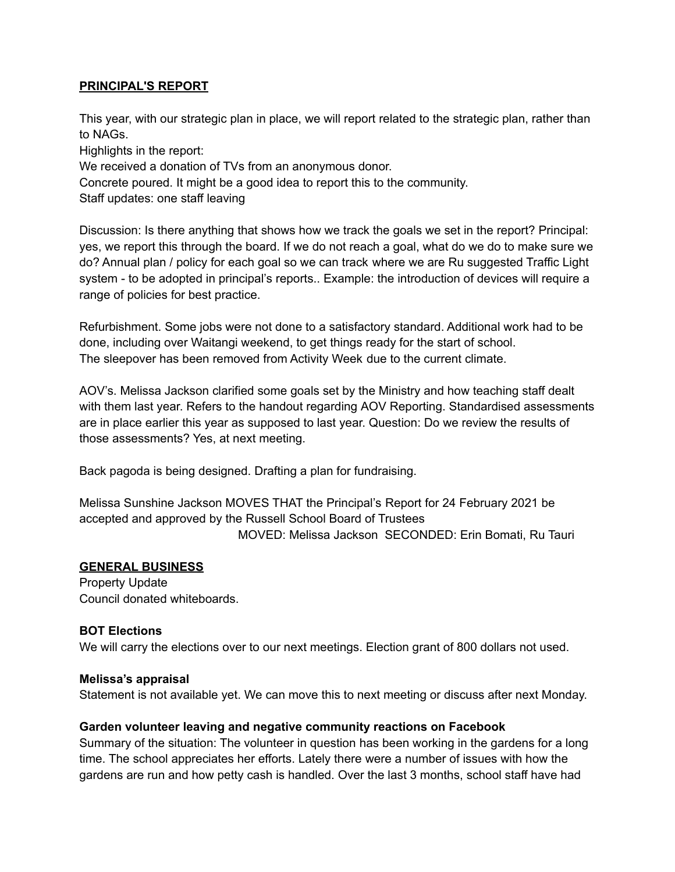## **PRINCIPAL'S REPORT**

This year, with our strategic plan in place, we will report related to the strategic plan, rather than to NAGs.

Highlights in the report:

We received a donation of TVs from an anonymous donor.

Concrete poured. It might be a good idea to report this to the community.

Staff updates: one staff leaving

Discussion: Is there anything that shows how we track the goals we set in the report? Principal: yes, we report this through the board. If we do not reach a goal, what do we do to make sure we do? Annual plan / policy for each goal so we can track where we are Ru suggested Traffic Light system - to be adopted in principal's reports.. Example: the introduction of devices will require a range of policies for best practice.

Refurbishment. Some jobs were not done to a satisfactory standard. Additional work had to be done, including over Waitangi weekend, to get things ready for the start of school. The sleepover has been removed from Activity Week due to the current climate.

AOV's. Melissa Jackson clarified some goals set by the Ministry and how teaching staff dealt with them last year. Refers to the handout regarding AOV Reporting. Standardised assessments are in place earlier this year as supposed to last year. Question: Do we review the results of those assessments? Yes, at next meeting.

Back pagoda is being designed. Drafting a plan for fundraising.

Melissa Sunshine Jackson MOVES THAT the Principal's Report for 24 February 2021 be accepted and approved by the Russell School Board of Trustees MOVED: Melissa Jackson SECONDED: Erin Bomati, Ru Tauri

## **GENERAL BUSINESS**

Property Update Council donated whiteboards.

## **BOT Elections**

We will carry the elections over to our next meetings. Election grant of 800 dollars not used.

## **Melissa's appraisal**

Statement is not available yet. We can move this to next meeting or discuss after next Monday.

## **Garden volunteer leaving and negative community reactions on Facebook**

Summary of the situation: The volunteer in question has been working in the gardens for a long time. The school appreciates her efforts. Lately there were a number of issues with how the gardens are run and how petty cash is handled. Over the last 3 months, school staff have had